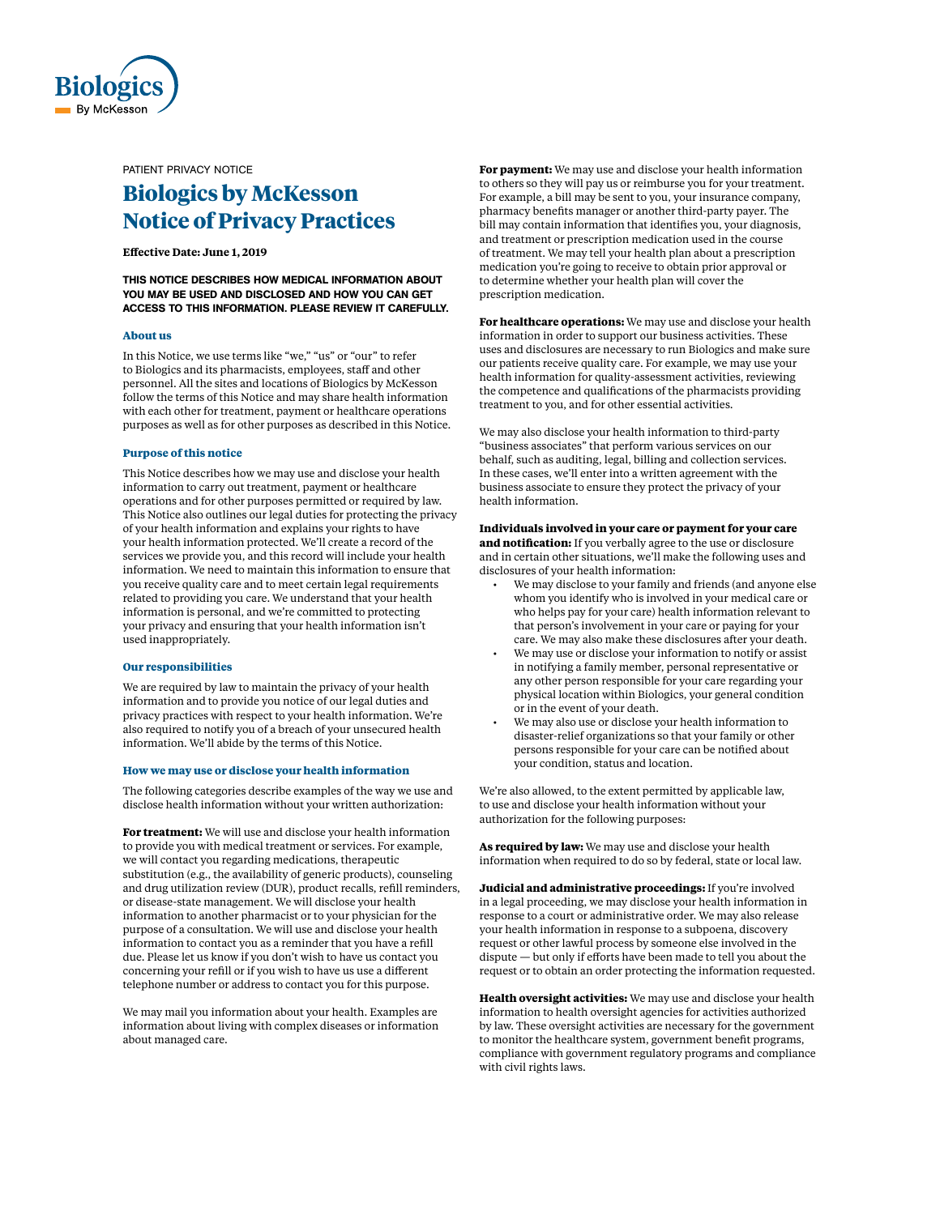

PATIENT PRIVACY NOTICE

# **Biologics by McKesson Notice of Privacy Practices**

# **Effective Date: June 1, 2019**

THIS NOTICE DESCRIBES HOW MEDICAL INFORMATION ABOUT YOU MAY BE USED AND DISCLOSED AND HOW YOU CAN GET ACCESS TO THIS INFORMATION. PLEASE REVIEW IT CAREFULLY.

## **About us**

In this Notice, we use terms like "we," "us" or "our" to refer to Biologics and its pharmacists, employees, staff and other personnel. All the sites and locations of Biologics by McKesson follow the terms of this Notice and may share health information with each other for treatment, payment or healthcare operations purposes as well as for other purposes as described in this Notice.

## **Purpose of this notice**

This Notice describes how we may use and disclose your health information to carry out treatment, payment or healthcare operations and for other purposes permitted or required by law. This Notice also outlines our legal duties for protecting the privacy of your health information and explains your rights to have your health information protected. We'll create a record of the services we provide you, and this record will include your health information. We need to maintain this information to ensure that you receive quality care and to meet certain legal requirements related to providing you care. We understand that your health information is personal, and we're committed to protecting your privacy and ensuring that your health information isn't used inappropriately.

#### **Our responsibilities**

We are required by law to maintain the privacy of your health information and to provide you notice of our legal duties and privacy practices with respect to your health information. We're also required to notify you of a breach of your unsecured health information. We'll abide by the terms of this Notice.

#### **How we may use or disclose your health information**

The following categories describe examples of the way we use and disclose health information without your written authorization:

**For treatment:** We will use and disclose your health information to provide you with medical treatment or services. For example, we will contact you regarding medications, therapeutic substitution (e.g., the availability of generic products), counseling and drug utilization review (DUR), product recalls, refill reminders, or disease-state management. We will disclose your health information to another pharmacist or to your physician for the purpose of a consultation. We will use and disclose your health information to contact you as a reminder that you have a refill due. Please let us know if you don't wish to have us contact you concerning your refill or if you wish to have us use a different telephone number or address to contact you for this purpose.

We may mail you information about your health. Examples are information about living with complex diseases or information about managed care.

**For payment:** We may use and disclose your health information to others so they will pay us or reimburse you for your treatment. For example, a bill may be sent to you, your insurance company, pharmacy benefits manager or another third-party payer. The bill may contain information that identifies you, your diagnosis, and treatment or prescription medication used in the course of treatment. We may tell your health plan about a prescription medication you're going to receive to obtain prior approval or to determine whether your health plan will cover the prescription medication.

**For healthcare operations:** We may use and disclose your health information in order to support our business activities. These uses and disclosures are necessary to run Biologics and make sure our patients receive quality care. For example, we may use your health information for quality-assessment activities, reviewing the competence and qualifications of the pharmacists providing treatment to you, and for other essential activities.

We may also disclose your health information to third-party "business associates" that perform various services on our behalf, such as auditing, legal, billing and collection services. In these cases, we'll enter into a written agreement with the business associate to ensure they protect the privacy of your health information.

# **Individuals involved in your care or payment for your care**

**and notification:** If you verbally agree to the use or disclosure and in certain other situations, we'll make the following uses and disclosures of your health information:

- We may disclose to your family and friends (and anyone else whom you identify who is involved in your medical care or who helps pay for your care) health information relevant to that person's involvement in your care or paying for your care. We may also make these disclosures after your death.
- We may use or disclose your information to notify or assist in notifying a family member, personal representative or any other person responsible for your care regarding your physical location within Biologics, your general condition or in the event of your death.
- We may also use or disclose your health information to disaster-relief organizations so that your family or other persons responsible for your care can be notified about your condition, status and location.

We're also allowed, to the extent permitted by applicable law, to use and disclose your health information without your authorization for the following purposes:

**As required by law:** We may use and disclose your health information when required to do so by federal, state or local law.

**Judicial and administrative proceedings:** If you're involved in a legal proceeding, we may disclose your health information in response to a court or administrative order. We may also release your health information in response to a subpoena, discovery request or other lawful process by someone else involved in the dispute — but only if efforts have been made to tell you about the request or to obtain an order protecting the information requested.

**Health oversight activities:** We may use and disclose your health information to health oversight agencies for activities authorized by law. These oversight activities are necessary for the government to monitor the healthcare system, government benefit programs, compliance with government regulatory programs and compliance with civil rights laws.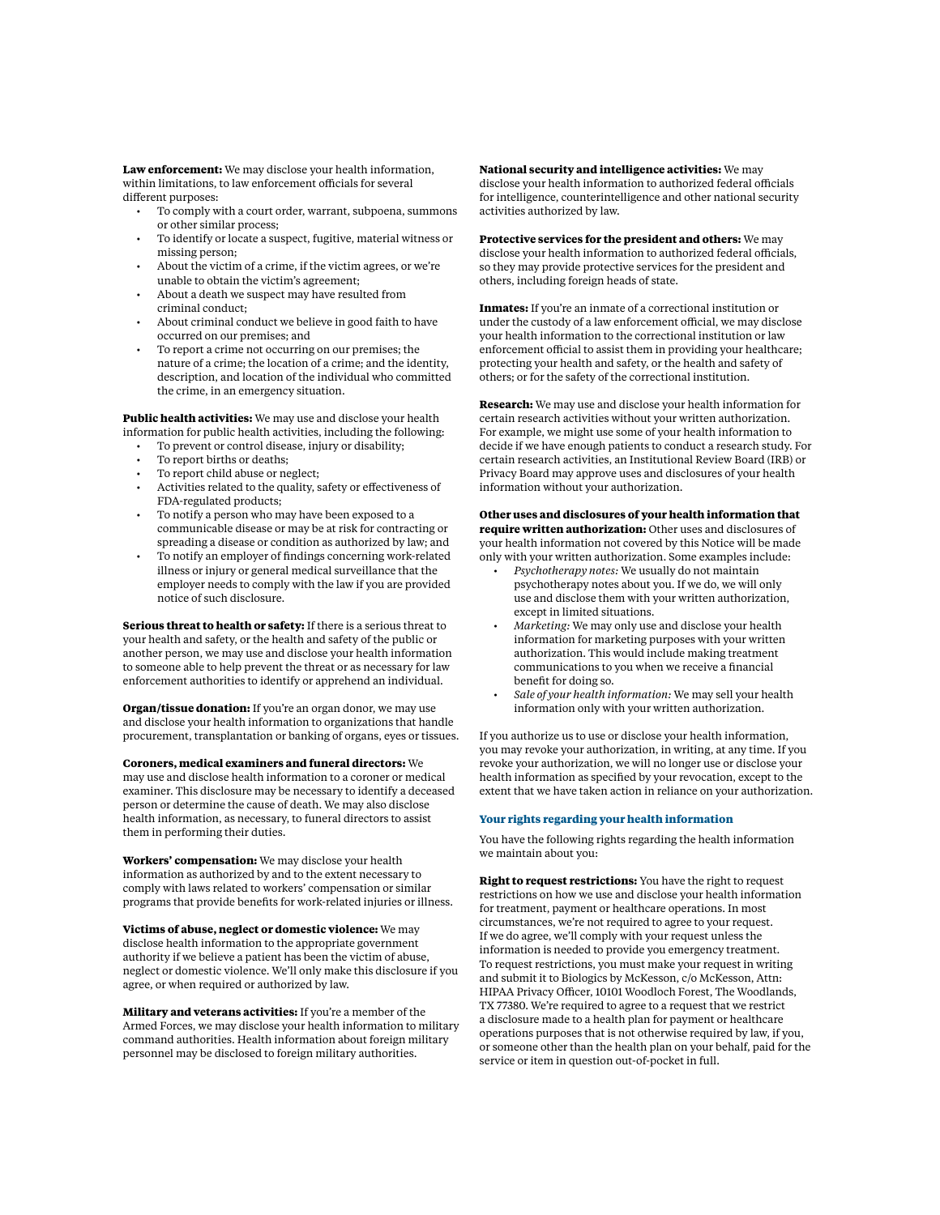**Law enforcement:** We may disclose your health information, within limitations, to law enforcement officials for several different purposes:

- To comply with a court order, warrant, subpoena, summons or other similar process;
- To identify or locate a suspect, fugitive, material witness or missing person;
- About the victim of a crime, if the victim agrees, or we're unable to obtain the victim's agreement;
- About a death we suspect may have resulted from criminal conduct;
- About criminal conduct we believe in good faith to have occurred on our premises; and
- To report a crime not occurring on our premises; the nature of a crime; the location of a crime; and the identity, description, and location of the individual who committed the crime, in an emergency situation.

**Public health activities:** We may use and disclose your health information for public health activities, including the following:

- To prevent or control disease, injury or disability;
- To report births or deaths;
- To report child abuse or neglect;
- Activities related to the quality, safety or effectiveness of FDA-regulated products;
- To notify a person who may have been exposed to a communicable disease or may be at risk for contracting or spreading a disease or condition as authorized by law; and
- To notify an employer of findings concerning work-related illness or injury or general medical surveillance that the employer needs to comply with the law if you are provided notice of such disclosure.

**Serious threat to health or safety:** If there is a serious threat to your health and safety, or the health and safety of the public or another person, we may use and disclose your health information to someone able to help prevent the threat or as necessary for law enforcement authorities to identify or apprehend an individual.

**Organ/tissue donation:** If you're an organ donor, we may use and disclose your health information to organizations that handle procurement, transplantation or banking of organs, eyes or tissues.

**Coroners, medical examiners and funeral directors:** We may use and disclose health information to a coroner or medical examiner. This disclosure may be necessary to identify a deceased person or determine the cause of death. We may also disclose health information, as necessary, to funeral directors to assist them in performing their duties.

**Workers' compensation:** We may disclose your health information as authorized by and to the extent necessary to comply with laws related to workers' compensation or similar programs that provide benefits for work-related injuries or illness.

**Victims of abuse, neglect or domestic violence:** We may disclose health information to the appropriate government authority if we believe a patient has been the victim of abuse, neglect or domestic violence. We'll only make this disclosure if you agree, or when required or authorized by law.

**Military and veterans activities:** If you're a member of the Armed Forces, we may disclose your health information to military command authorities. Health information about foreign military personnel may be disclosed to foreign military authorities.

**National security and intelligence activities:** We may disclose your health information to authorized federal officials for intelligence, counterintelligence and other national security activities authorized by law.

**Protective services for the president and others:** We may disclose your health information to authorized federal officials, so they may provide protective services for the president and others, including foreign heads of state.

**Inmates:** If you're an inmate of a correctional institution or under the custody of a law enforcement official, we may disclose your health information to the correctional institution or law enforcement official to assist them in providing your healthcare; protecting your health and safety, or the health and safety of others; or for the safety of the correctional institution.

**Research:** We may use and disclose your health information for certain research activities without your written authorization. For example, we might use some of your health information to decide if we have enough patients to conduct a research study. For certain research activities, an Institutional Review Board (IRB) or Privacy Board may approve uses and disclosures of your health information without your authorization.

# **Other uses and disclosures of your health information that require written authorization:** Other uses and disclosures of

your health information not covered by this Notice will be made only with your written authorization. Some examples include:

- *• Psychotherapy notes:* We usually do not maintain psychotherapy notes about you. If we do, we will only use and disclose them with your written authorization, except in limited situations.
- *• Marketing:* We may only use and disclose your health information for marketing purposes with your written authorization. This would include making treatment communications to you when we receive a financial benefit for doing so.
- *• Sale of your health information:* We may sell your health information only with your written authorization.

If you authorize us to use or disclose your health information, you may revoke your authorization, in writing, at any time. If you revoke your authorization, we will no longer use or disclose your health information as specified by your revocation, except to the extent that we have taken action in reliance on your authorization.

## **Your rights regarding your health information**

You have the following rights regarding the health information we maintain about you:

**Right to request restrictions:** You have the right to request restrictions on how we use and disclose your health information for treatment, payment or healthcare operations. In most circumstances, we're not required to agree to your request. If we do agree, we'll comply with your request unless the information is needed to provide you emergency treatment. To request restrictions, you must make your request in writing and submit it to Biologics by McKesson, c/o McKesson, Attn: HIPAA Privacy Officer, 10101 Woodloch Forest, The Woodlands, TX 77380. We're required to agree to a request that we restrict a disclosure made to a health plan for payment or healthcare operations purposes that is not otherwise required by law, if you, or someone other than the health plan on your behalf, paid for the service or item in question out-of-pocket in full.